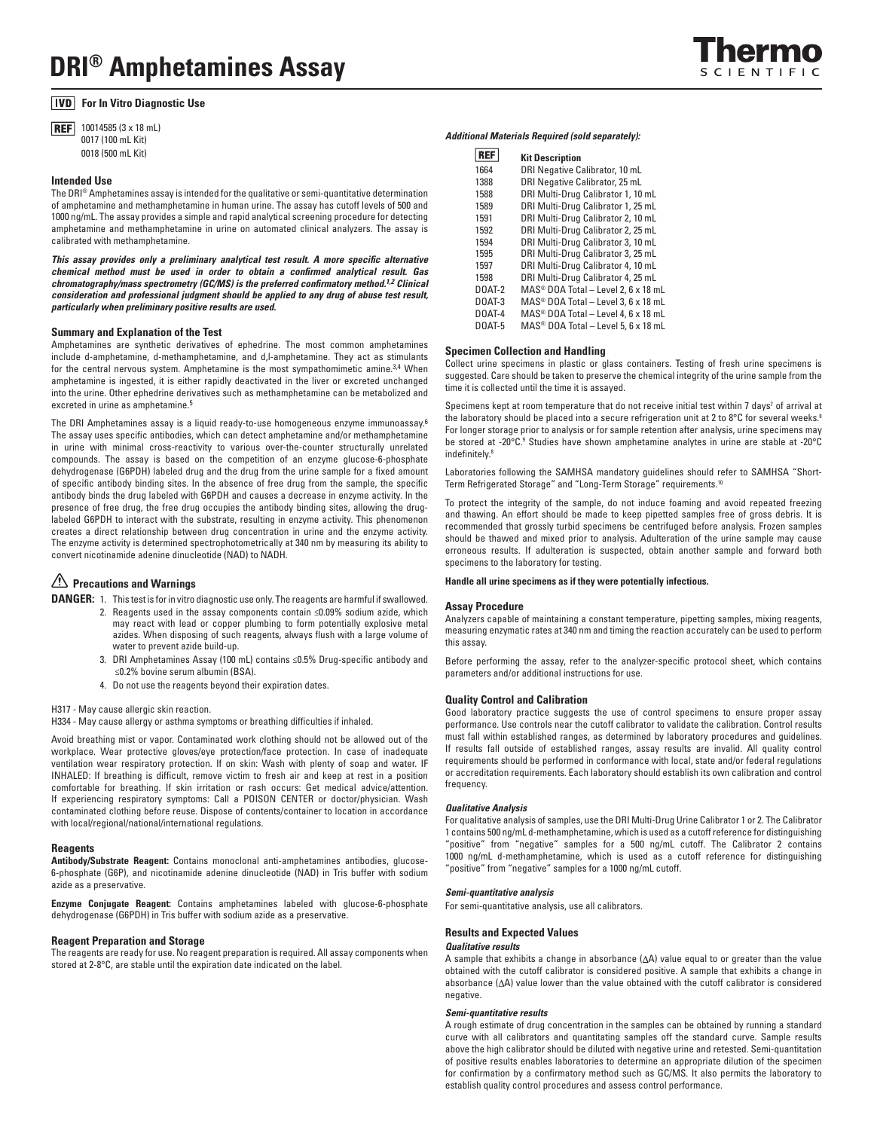# **For In Vitro Diagnostic Use**

**REF** 10014585 (3 x 18 mL) 0017 (100 mL Kit) 0018 (500 mL Kit)

### **Intended Use**

The DRI® Amphetamines assay is intended for the qualitative or semi-quantitative determination of amphetamine and methamphetamine in human urine. The assay has cutoff levels of 500 and 1000 ng/mL. The assay provides a simple and rapid analytical screening procedure for detecting amphetamine and methamphetamine in urine on automated clinical analyzers. The assay is calibrated with methamphetamine.

*This assay provides only a preliminary analytical test result. A more specific alternative chemical method must be used in order to obtain a confirmed analytical result. Gas chromatography/mass spectrometry (GC/MS) is the preferred confirmatory method.1,2 Clinical consideration and professional judgment should be applied to any drug of abuse test result, particularly when preliminary positive results are used.*

#### **Summary and Explanation of the Test**

Amphetamines are synthetic derivatives of ephedrine. The most common amphetamines include d-amphetamine, d-methamphetamine, and d,l-amphetamine. They act as stimulants for the central nervous system. Amphetamine is the most sympathomimetic amine.<sup>3,4</sup> When amphetamine is ingested, it is either rapidly deactivated in the liver or excreted unchanged into the urine. Other ephedrine derivatives such as methamphetamine can be metabolized and excreted in urine as amphetamine.<sup>5</sup>

The DRI Amphetamines assay is a liquid ready-to-use homogeneous enzyme immunoassay.6 The assay uses specific antibodies, which can detect amphetamine and/or methamphetamine in urine with minimal cross-reactivity to various over-the-counter structurally unrelated compounds. The assay is based on the competition of an enzyme glucose-6-phosphate dehydrogenase (G6PDH) labeled drug and the drug from the urine sample for a fixed amount of specific antibody binding sites. In the absence of free drug from the sample, the specific antibody binds the drug labeled with G6PDH and causes a decrease in enzyme activity. In the presence of free drug, the free drug occupies the antibody binding sites, allowing the druglabeled G6PDH to interact with the substrate, resulting in enzyme activity. This phenomenon creates a direct relationship between drug concentration in urine and the enzyme activity. The enzyme activity is determined spectrophotometrically at 340 nm by measuring its ability to convert nicotinamide adenine dinucleotide (NAD) to NADH.

# **2.** Precautions and Warnings

**DANGER:** 1. This test is for in vitro diagnostic use only. The reagents are harmful if swallowed.

- 2. Reagents used in the assay components contain ≤0.09% sodium azide, which may react with lead or copper plumbing to form potentially explosive metal azides. When disposing of such reagents, always flush with a large volume of water to prevent azide build-up.
- 3. DRI Amphetamines Assay (100 mL) contains ≤0.5% Drug-specific antibody and ≤0.2% bovine serum albumin (BSA).
- 4. Do not use the reagents beyond their expiration dates.

H317 - May cause allergic skin reaction.

H334 - May cause allergy or asthma symptoms or breathing difficulties if inhaled.

Avoid breathing mist or vapor. Contaminated work clothing should not be allowed out of the workplace. Wear protective gloves/eye protection/face protection. In case of inadequate ventilation wear respiratory protection. If on skin: Wash with plenty of soap and water. IF INHALED: If breathing is difficult, remove victim to fresh air and keep at rest in a position comfortable for breathing. If skin irritation or rash occurs: Get medical advice/attention. If experiencing respiratory symptoms: Call a POISON CENTER or doctor/physician. Wash contaminated clothing before reuse. Dispose of contents/container to location in accordance with local/regional/national/international regulations.

#### **Reagents**

**Antibody/Substrate Reagent:** Contains monoclonal anti-amphetamines antibodies, glucose-6-phosphate (G6P), and nicotinamide adenine dinucleotide (NAD) in Tris buffer with sodium azide as a preservative.

**Enzyme Conjugate Reagent:** Contains amphetamines labeled with glucose-6-phosphate dehydrogenase (G6PDH) in Tris buffer with sodium azide as a preservative.

## **Reagent Preparation and Storage**

The reagents are ready for use. No reagent preparation is required. All assay components when stored at 2-8°C, are stable until the expiration date indicated on the label.

#### *Additional Materials Required (sold separately):*

| <b>REI</b>    | <b>Kit Description</b>                              |
|---------------|-----------------------------------------------------|
| 1664          | DRI Negative Calibrator, 10 mL                      |
| 1388          | DRI Negative Calibrator, 25 mL                      |
| 1588          | DRI Multi-Drug Calibrator 1, 10 mL                  |
| 1589          | DRI Multi-Drug Calibrator 1, 25 mL                  |
| 1591          | DRI Multi-Drug Calibrator 2, 10 mL                  |
| 1592          | DRI Multi-Drug Calibrator 2, 25 mL                  |
| 1594          | DRI Multi-Drug Calibrator 3, 10 mL                  |
| 1595          | DRI Multi-Drug Calibrator 3, 25 mL                  |
| 1597          | DRI Multi-Drug Calibrator 4, 10 mL                  |
| 1598          | DRI Multi-Drug Calibrator 4, 25 mL                  |
| DOAT-2        | $MAS^{\circledcirc}$ DOA Total - Level 2, 6 x 18 mL |
| DOAT-3        | MAS <sup>®</sup> DOA Total - Level 3, 6 x 18 mL     |
| DOAT-4        | $MAS^{\circledcirc}$ DOA Total - Level 4, 6 x 18 mL |
| <b>DOAT-5</b> | $MAS^{\circledast}$ DOA Total - Level 5, 6 x 18 mL  |

# **Specimen Collection and Handling**

Collect urine specimens in plastic or glass containers. Testing of fresh urine specimens is suggested. Care should be taken to preserve the chemical integrity of the urine sample from the time it is collected until the time it is assayed.

Specimens kept at room temperature that do not receive initial test within 7 days<sup>7</sup> of arrival at the laboratory should be placed into a secure refrigeration unit at 2 to 8°C for several weeks.<sup>8</sup> For longer storage prior to analysis or for sample retention after analysis, urine specimens may be stored at -20°C.<sup>9</sup> Studies have shown amphetamine analytes in urine are stable at -20°C indefinitely.8

Laboratories following the SAMHSA mandatory guidelines should refer to SAMHSA "Short-Term Refrigerated Storage" and "Long-Term Storage" requirements.10

To protect the integrity of the sample, do not induce foaming and avoid repeated freezing and thawing. An effort should be made to keep pipetted samples free of gross debris. It is recommended that grossly turbid specimens be centrifuged before analysis. Frozen samples should be thawed and mixed prior to analysis. Adulteration of the urine sample may cause erroneous results. If adulteration is suspected, obtain another sample and forward both specimens to the laboratory for testing.

### **Handle all urine specimens as if they were potentially infectious.**

#### **Assay Procedure**

Analyzers capable of maintaining a constant temperature, pipetting samples, mixing reagents, measuring enzymatic rates at 340 nm and timing the reaction accurately can be used to perform this assay.

Before performing the assay, refer to the analyzer-specific protocol sheet, which contains parameters and/or additional instructions for use.

## **Quality Control and Calibration**

Good laboratory practice suggests the use of control specimens to ensure proper assay performance. Use controls near the cutoff calibrator to validate the calibration. Control results must fall within established ranges, as determined by laboratory procedures and guidelines. If results fall outside of established ranges, assay results are invalid. All quality control requirements should be performed in conformance with local, state and/or federal regulations or accreditation requirements. Each laboratory should establish its own calibration and control frequency.

#### *Qualitative Analysis*

For qualitative analysis of samples, use the DRI Multi-Drug Urine Calibrator 1 or 2. The Calibrator 1 contains 500 ng/mL d-methamphetamine, which is used as a cutoff reference for distinguishing "positive" from "negative" samples for a 500 ng/mL cutoff. The Calibrator 2 contains 1000 ng/mL d-methamphetamine, which is used as a cutoff reference for distinguishing "positive" from "negative" samples for a 1000 ng/mL cutoff.

### *Semi-quantitative analysis*

For semi-quantitative analysis, use all calibrators.

## **Results and Expected Values**

# *Qualitative results*

A sample that exhibits a change in absorbance  $(\Delta A)$  value equal to or greater than the value obtained with the cutoff calibrator is considered positive. A sample that exhibits a change in absorbance  $(\Delta A)$  value lower than the value obtained with the cutoff calibrator is considered negative.

### *Semi-quantitative results*

A rough estimate of drug concentration in the samples can be obtained by running a standard curve with all calibrators and quantitating samples off the standard curve. Sample results above the high calibrator should be diluted with negative urine and retested. Semi-quantitation of positive results enables laboratories to determine an appropriate dilution of the specimen for confirmation by a confirmatory method such as GC/MS. It also permits the laboratory to establish quality control procedures and assess control performance.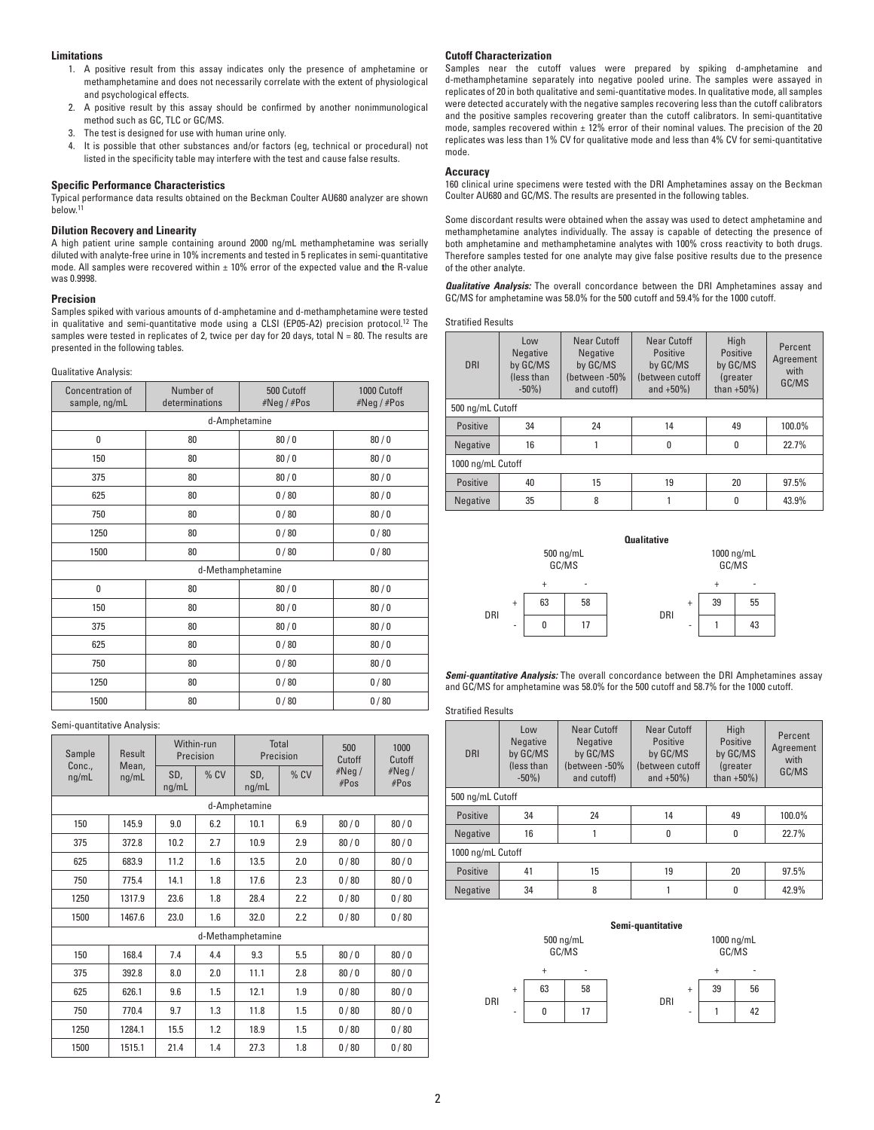# **Limitations**

- 1. A positive result from this assay indicates only the presence of amphetamine or methamphetamine and does not necessarily correlate with the extent of physiological and psychological effects.
- 2. A positive result by this assay should be confirmed by another nonimmunological method such as GC, TLC or GC/MS.
- 3. The test is designed for use with human urine only.
- 4. It is possible that other substances and/or factors (eg, technical or procedural) not listed in the specificity table may interfere with the test and cause false results.

### **Specific Performance Characteristics**

Typical performance data results obtained on the Beckman Coulter AU680 analyzer are shown below.<sup>1</sup>

## **Dilution Recovery and Linearity**

A high patient urine sample containing around 2000 ng/mL methamphetamine was serially diluted with analyte-free urine in 10% increments and tested in 5 replicates in semi-quantitative mode. All samples were recovered within ± 10% error of the expected value and **t**he R-value was 0.9998.

# **Precision**

Samples spiked with various amounts of d-amphetamine and d-methamphetamine were tested in qualitative and semi-quantitative mode using a CLSI (EP05-A2) precision protocol.<sup>12</sup> The samples were tested in replicates of 2, twice per day for 20 days, total  $N = 80$ . The results are presented in the following tables.

Qualitative Analysis:

| Concentration of<br>sample, ng/mL | Number of<br>determinations | 500 Cutoff<br>#Neg/#Pos | 1000 Cutoff<br>#Neg/#Pos |  |  |  |  |
|-----------------------------------|-----------------------------|-------------------------|--------------------------|--|--|--|--|
|                                   | d-Amphetamine               |                         |                          |  |  |  |  |
| 0                                 | 80                          | 80/0                    | 80/0                     |  |  |  |  |
| 150                               | 80                          | 80/0                    | 80/0                     |  |  |  |  |
| 375                               | 80                          | 80/0                    | 80/0                     |  |  |  |  |
| 625                               | 80                          | 0/80                    | 80/0                     |  |  |  |  |
| 750                               | 80                          | 0/80                    | 80/0                     |  |  |  |  |
| 1250                              | 80                          | 0/80                    | 0/80                     |  |  |  |  |
| 1500                              | 80                          | 0/80                    | 0/80                     |  |  |  |  |
|                                   |                             | d-Methamphetamine       |                          |  |  |  |  |
| 0                                 | 80                          | 80/0                    | 80/0                     |  |  |  |  |
| 150                               | 80                          | 80/0                    | 80/0                     |  |  |  |  |
| 375                               | 80                          | 80/0                    | 80/0                     |  |  |  |  |
| 625                               | 80                          | 0/80                    | 80/0                     |  |  |  |  |
| 750                               | 80                          | 0/80                    | 80/0                     |  |  |  |  |
| 1250                              | 80                          | 0/80                    | 0/80                     |  |  |  |  |
| 1500                              | 80                          | 0/80                    | 0/80                     |  |  |  |  |

Semi-quantitative Analysis:

| Sample        | Result         |              | Within-run<br>Precision |                   | Total<br>Precision | 500<br>Cutoff | 1000<br>Cutoff |
|---------------|----------------|--------------|-------------------------|-------------------|--------------------|---------------|----------------|
| Conc<br>ng/mL | Mean,<br>ng/mL | SD,<br>ng/mL | % CV                    | SD,<br>ng/mL      | % CV               | #Neg/<br>#Pos | #Neg/<br>#Pos  |
|               |                |              |                         | d-Amphetamine     |                    |               |                |
| 150           | 145.9          | 9.0          | 6.2                     | 10.1              | 6.9                | 80/0          | 80/0           |
| 375           | 372.8          | 10.2         | 2.7                     | 10.9              | 2.9                | 80/0          | 80/0           |
| 625           | 683.9          | 11.2         | 1.6                     | 13.5              | 2.0                | 0/80          | 80/0           |
| 750           | 775.4          | 14.1         | 1.8                     | 17.6              | 2.3                | 0/80          | 80/0           |
| 1250          | 1317.9         | 23.6         | 1.8                     | 28.4              | 2.2                | 0/80          | 0/80           |
| 1500          | 1467.6         | 23.0         | 1.6                     | 32.0              | 2.2                | 0/80          | 0/80           |
|               |                |              |                         | d-Methamphetamine |                    |               |                |
| 150           | 168.4          | 7.4          | 4.4                     | 9.3               | 5.5                | 80/0          | 80/0           |
| 375           | 392.8          | 8.0          | 2.0                     | 11.1              | 2.8                | 80/0          | 80/0           |
| 625           | 626.1          | 9.6          | 1.5                     | 12.1              | 1.9                | 0/80          | 80/0           |
| 750           | 770.4          | 9.7          | 1.3                     | 11.8              | 1.5                | 0/80          | 80/0           |
| 1250          | 1284.1         | 15.5         | 1.2                     | 18.9              | 1.5                | 0/80          | 0/80           |
| 1500          | 1515.1         | 21.4         | 1.4                     | 27.3              | 1.8                | 0/80          | 0/80           |

# **Cutoff Characterization**

Samples near the cutoff values were prepared by spiking d-amphetamine and d-methamphetamine separately into negative pooled urine. The samples were assayed in replicates of 20 in both qualitative and semi-quantitative modes. In qualitative mode, all samples were detected accurately with the negative samples recovering less than the cutoff calibrators and the positive samples recovering greater than the cutoff calibrators. In semi-quantitative mode, samples recovered within  $\pm$  12% error of their nominal values. The precision of the 20 replicates was less than 1% CV for qualitative mode and less than 4% CV for semi-quantitative mode.

### **Accuracy**

160 clinical urine specimens were tested with the DRI Amphetamines assay on the Beckman Coulter AU680 and GC/MS. The results are presented in the following tables.

Some discordant results were obtained when the assay was used to detect amphetamine and methamphetamine analytes individually. The assay is capable of detecting the presence of both amphetamine and methamphetamine analytes with 100% cross reactivity to both drugs. Therefore samples tested for one analyte may give false positive results due to the presence of the other analyte.

*Qualitative Analysis:* The overall concordance between the DRI Amphetamines assay and GC/MS for amphetamine was 58.0% for the 500 cutoff and 59.4% for the 1000 cutoff.

| <b>Stratified Results</b> |  |
|---------------------------|--|
|---------------------------|--|

| <b>DRI</b>        | Low<br>Negative<br>by GC/MS<br>(less than<br>$-50\%$ ) | Near Cutoff<br>Negative<br>by GC/MS<br>(between -50%<br>and cutoff) | Near Cutoff<br>Positive<br>by GC/MS<br>(between cutoff<br>and $+50\%$ ) | High<br>Positive<br>by GC/MS<br>(greater<br>than $+50\%$ ) | Percent<br>Agreement<br>with<br>GC/MS |  |
|-------------------|--------------------------------------------------------|---------------------------------------------------------------------|-------------------------------------------------------------------------|------------------------------------------------------------|---------------------------------------|--|
| 500 ng/mL Cutoff  |                                                        |                                                                     |                                                                         |                                                            |                                       |  |
| Positive          | 34                                                     | 24                                                                  | 14                                                                      | 49                                                         | 100.0%                                |  |
| Negative          | 16                                                     |                                                                     | 0                                                                       | 0                                                          | 22.7%                                 |  |
| 1000 ng/mL Cutoff |                                                        |                                                                     |                                                                         |                                                            |                                       |  |
| Positive          | 40                                                     | 15                                                                  | 19                                                                      | 20                                                         | 97.5%                                 |  |
| <b>Negative</b>   | 35                                                     | 8                                                                   |                                                                         | 0                                                          | 43.9%                                 |  |



*Semi-quantitative Analysis:* The overall concordance between the DRI Amphetamines assay and GC/MS for amphetamine was 58.0% for the 500 cutoff and 58.7% for the 1000 cutoff.

Stratified Results

| <b>DRI</b>        | Low<br>Negative<br>by GC/MS<br>(less than<br>$-50\%$ ) | Near Cutoff<br>Negative<br>by GC/MS<br>(between -50%<br>and cutoff) | Near Cutoff<br>Positive<br>by GC/MS<br>(between cutoff<br>and $+50\%$ ) | High<br>Positive<br>by GC/MS<br><i>(greater</i><br>than $+50\%$ ) | Percent<br>Agreement<br>with<br>GC/MS |  |
|-------------------|--------------------------------------------------------|---------------------------------------------------------------------|-------------------------------------------------------------------------|-------------------------------------------------------------------|---------------------------------------|--|
| 500 ng/mL Cutoff  |                                                        |                                                                     |                                                                         |                                                                   |                                       |  |
| Positive          | 34                                                     | 24                                                                  | 14                                                                      | 49                                                                | 100.0%                                |  |
| Negative          | 16                                                     |                                                                     | $\mathbf{0}$                                                            | 0                                                                 | 22.7%                                 |  |
| 1000 ng/mL Cutoff |                                                        |                                                                     |                                                                         |                                                                   |                                       |  |
| Positive          | 41                                                     | 15                                                                  | 19                                                                      | 20                                                                | 97.5%                                 |  |
| <b>Negative</b>   | 34                                                     | 8                                                                   |                                                                         | 0                                                                 | 42.9%                                 |  |

#### **Semi-quantitative**

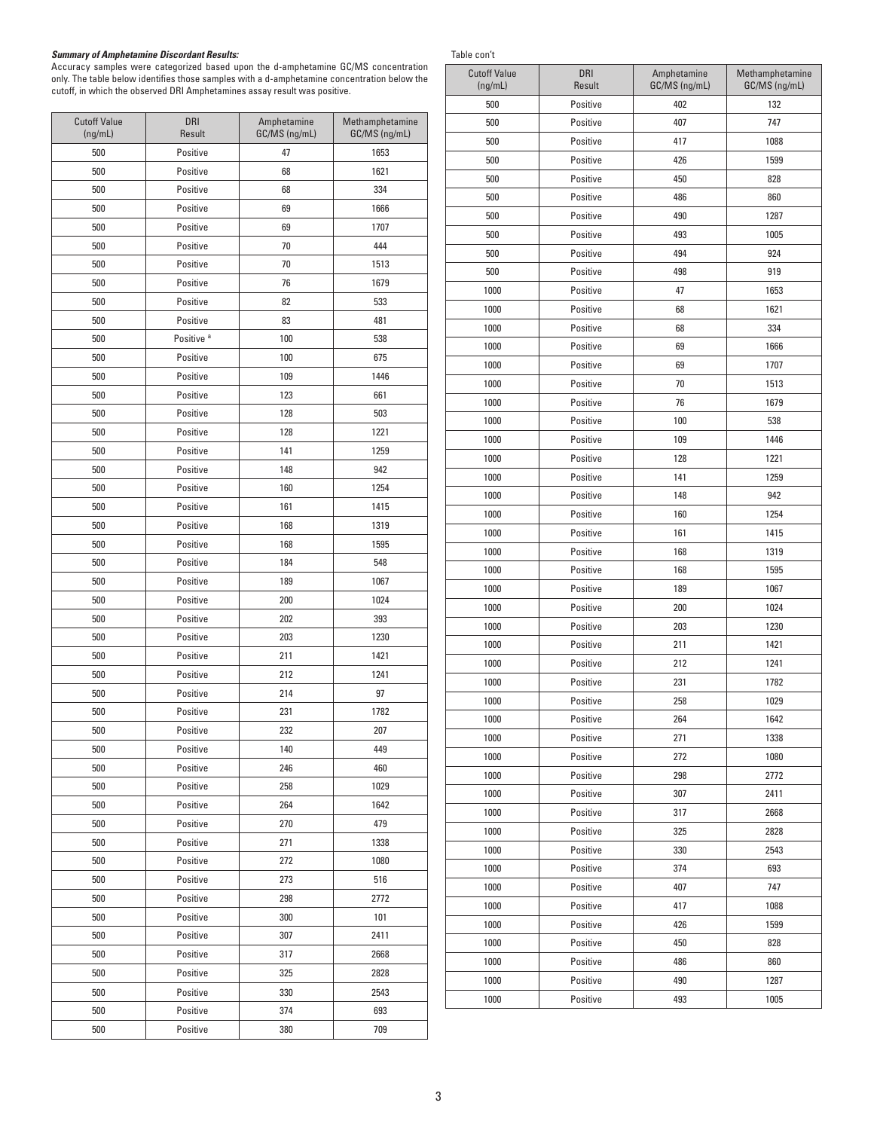#### *Summary of Amphetamine Discordant Results:*

 $\overline{\phantom{a}}$ 

Accuracy samples were categorized based upon the d-amphetamine GC/MS concentration only. The table below identifies those samples with a d-amphetamine concentration below the cutoff, in which the observed DRI Amphetamines assay result was positive.

 $\top$ 

| <b>Cutoff Value</b><br>(ng/mL) | <b>DRI</b><br>Result  | Amphetamine<br>GC/MS (ng/mL) | Methamphetamine<br>GC/MS (ng/mL) |
|--------------------------------|-----------------------|------------------------------|----------------------------------|
| 500                            | Positive              | 47                           | 1653                             |
| 500                            | Positive              | 68                           | 1621                             |
| 500                            | Positive              | 68                           | 334                              |
| 500                            | Positive              | 69                           | 1666                             |
| 500                            | Positive              | 69                           | 1707                             |
| 500                            | Positive              | 70                           | 444                              |
| 500                            | Positive              | 70                           | 1513                             |
| 500                            | Positive              | 76                           | 1679                             |
| 500                            | Positive              | 82                           | 533                              |
| 500                            | Positive              | 83                           | 481                              |
| 500                            | Positive <sup>a</sup> | 100                          | 538                              |
| 500                            | Positive              | 100                          | 675                              |
| 500                            | Positive              | 109                          | 1446                             |
| 500                            | Positive              | 123                          | 661                              |
| 500                            | Positive              | 128                          | 503                              |
| 500                            | Positive              | 128                          | 1221                             |
| 500                            | Positive              | 141                          | 1259                             |
| 500                            | Positive              | 148                          | 942                              |
| 500                            | Positive              | 160                          | 1254                             |
| 500                            | Positive              | 161                          | 1415                             |
| 500                            | Positive              | 168                          | 1319                             |
| 500                            | Positive              | 168                          | 1595                             |
| 500                            | Positive              | 184                          | 548                              |
| 500                            | Positive              | 189                          | 1067                             |
| 500                            | Positive              | 200                          | 1024                             |
| 500                            | Positive              | 202                          | 393                              |
| 500                            | Positive              | 203                          | 1230                             |
| 500                            | Positive              | 211                          | 1421                             |
| 500                            | Positive              | 212                          | 1241                             |
| 500                            | Positive              | 214                          | 97                               |
| 500                            | Positive              | 231                          | 1782                             |
| 500                            | Positive              | 232                          | 207                              |
| 500                            | Positive              | 140                          | 449                              |
| 500                            | Positive              | 246                          | 460                              |
| 500                            | Positive              | 258                          | 1029                             |
| 500                            | Positive              | 264                          | 1642                             |
| 500                            | Positive              | 270                          | 479                              |
| 500                            | Positive              | 271                          | 1338                             |
| 500                            | Positive              | 272                          | 1080                             |
| 500                            | Positive              | 273                          | 516                              |
| 500                            | Positive              | 298                          | 2772                             |
| 500                            | Positive              | 300                          | 101                              |
| 500                            | Positive              | 307                          | 2411                             |
| 500                            | Positive              | 317                          | 2668                             |
| 500                            | Positive              | 325                          | 2828                             |
| 500                            | Positive              | 330                          | 2543                             |
| 500                            | Positive              | 374                          | 693                              |
| 500                            | Positive              | 380                          | 709                              |
|                                |                       |                              |                                  |

| Table con' | ı |
|------------|---|
|            |   |

| rapie con t                    |               |                              |                                  |
|--------------------------------|---------------|------------------------------|----------------------------------|
| <b>Cutoff Value</b><br>(ng/mL) | DRI<br>Result | Amphetamine<br>GC/MS (ng/mL) | Methamphetamine<br>GC/MS (ng/mL) |
| 500                            | Positive      | 402                          | 132                              |
| 500                            | Positive      | 407                          | 747                              |
| 500                            | Positive      | 417                          | 1088                             |
| 500                            | Positive      | 426                          | 1599                             |
| 500                            | Positive      | 450                          | 828                              |
| 500                            | Positive      | 486                          | 860                              |
| 500                            | Positive      | 490                          | 1287                             |
| 500                            | Positive      | 493                          | 1005                             |
| 500                            | Positive      | 494                          | 924                              |
| 500                            | Positive      | 498                          | 919                              |
| 1000                           | Positive      | 47                           | 1653                             |
| 1000                           | Positive      | 68                           | 1621                             |
| 1000                           | Positive      | 68                           | 334                              |
| 1000                           | Positive      | 69                           | 1666                             |
| 1000                           | Positive      | 69                           | 1707                             |
| 1000                           | Positive      | 70                           | 1513                             |
| 1000                           | Positive      | 76                           | 1679                             |
| 1000                           | Positive      | 100                          | 538                              |
| 1000                           | Positive      | 109                          | 1446                             |
| 1000                           | Positive      | 128                          | 1221                             |
| 1000                           | Positive      | 141                          | 1259                             |
| 1000                           | Positive      | 148                          | 942                              |
| 1000                           | Positive      | 160                          | 1254                             |
| 1000                           | Positive      | 161                          | 1415                             |
| 1000                           | Positive      | 168                          | 1319                             |
| 1000                           | Positive      | 168                          | 1595                             |
| 1000                           | Positive      | 189                          | 1067                             |
| 1000                           | Positive      | 200                          | 1024                             |
| 1000                           | Positive      | 203                          | 1230                             |
| 1000                           | Positive      | 211                          | 1421                             |
| 1000                           | Positive      | 212                          | 1241                             |
| 1000                           | Positive      | 231                          | 1782                             |
| 1000                           | Positive      | 258                          | 1029                             |
| 1000                           | Positive      | 264                          | 1642                             |
| 1000                           | Positive      | 271                          | 1338                             |
| 1000                           | Positive      | 272                          | 1080                             |
| 1000                           | Positive      | 298                          | 2772                             |
| 1000                           | Positive      | 307                          | 2411                             |
| 1000                           | Positive      | 317                          | 2668                             |
| 1000                           | Positive      | 325                          | 2828                             |
| 1000                           | Positive      | 330                          | 2543                             |
| 1000                           | Positive      | 374                          | 693                              |
| 1000                           | Positive      | 407                          | 747                              |
| 1000                           | Positive      | 417                          | 1088                             |
| 1000                           | Positive      | 426                          | 1599                             |
| 1000                           | Positive      | 450                          | 828                              |
| 1000                           | Positive      | 486                          | 860                              |
| 1000                           | Positive      | 490                          | 1287                             |
| 1000                           | Positive      | 493                          | 1005                             |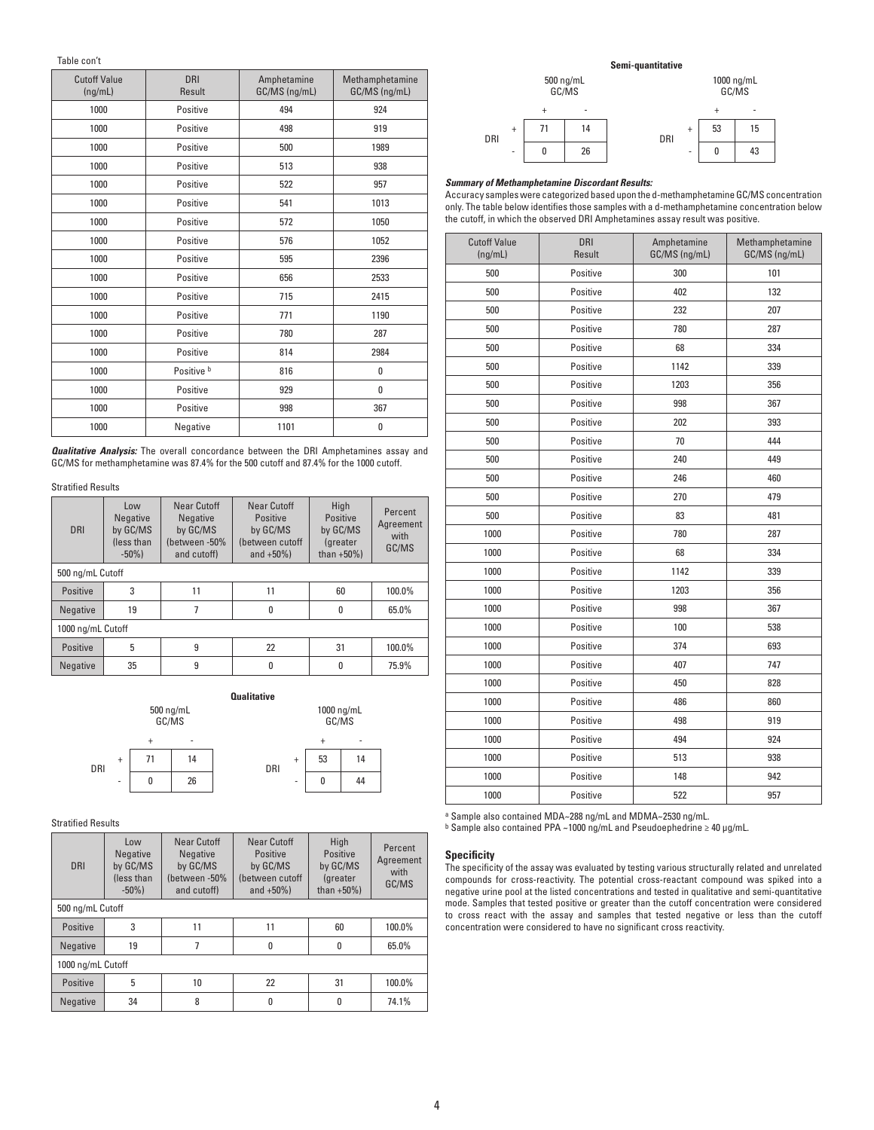Table con't

| Cutoff Value<br>(nq/mL) | <b>DRI</b><br>Result | Amphetamine<br>GC/MS (ng/mL) | Methamphetamine<br>GC/MS (ng/mL) |
|-------------------------|----------------------|------------------------------|----------------------------------|
| 1000                    | Positive             | 494                          | 924                              |
| 1000                    | Positive             | 498                          | 919                              |
| 1000                    | Positive             | 500                          | 1989                             |
| 1000                    | Positive             | 513                          | 938                              |
| 1000                    | Positive             | 522                          | 957                              |
| 1000                    | Positive             | 541                          | 1013                             |
| 1000                    | Positive             | 572                          | 1050                             |
| 1000                    | Positive             | 576                          | 1052                             |
| 1000                    | Positive             | 595                          | 2396                             |
| 1000                    | Positive             | 656                          | 2533                             |
| 1000                    | Positive             | 715                          | 2415                             |
| 1000                    | Positive             | 771                          | 1190                             |
| 1000                    | Positive             | 780                          | 287                              |
| 1000                    | Positive             | 814                          | 2984                             |
| 1000                    | Positive b           | 816                          | 0                                |
| 1000                    | Positive             | 929                          | 0                                |
| 1000                    | Positive             | 998                          | 367                              |
| 1000                    | Negative             | 1101                         | 0                                |

*Qualitative Analysis:* The overall concordance between the DRI Amphetamines assay and GC/MS for methamphetamine was 87.4% for the 500 cutoff and 87.4% for the 1000 cutoff.

# Stratified Results

| <b>DRI</b>        | Low<br>Negative<br>by GC/MS<br>(less than | Near Cutoff<br>Negative<br>by GC/MS<br>(between -50% | Near Cutoff<br>Positive<br>by GC/MS<br>(between cutoff | High<br>Positive<br>by GC/MS<br>(greater | Percent<br>Agreement<br>with<br>GC/MS |  |
|-------------------|-------------------------------------------|------------------------------------------------------|--------------------------------------------------------|------------------------------------------|---------------------------------------|--|
| 500 ng/mL Cutoff  | $-50\%$ )                                 | and cutoff)                                          | and $+50%$ )                                           | than $+50\%$ )                           |                                       |  |
|                   |                                           |                                                      |                                                        |                                          |                                       |  |
| Positive          | 3                                         | 11                                                   | 11                                                     | 60                                       | 100.0%                                |  |
| Negative          | 19                                        |                                                      | U                                                      | $\mathbf{0}$                             | 65.0%                                 |  |
| 1000 ng/mL Cutoff |                                           |                                                      |                                                        |                                          |                                       |  |
| Positive          | 5                                         | 9                                                    | 22                                                     | 31                                       | 100.0%                                |  |
| Negative          | 35                                        | 9                                                    |                                                        |                                          | 75.9%                                 |  |



# Stratified Results

| <b>DRI</b>        | Low<br>Negative<br>by GC/MS<br>(less than<br>$-50\%$ ) | Near Cutoff<br>Negative<br>by GC/MS<br>(between-50%<br>and cutoff) | Near Cutoff<br>Positive<br>by GC/MS<br>(between cutoff<br>and $+50\%$ ) | High<br>Positive<br>by GC/MS<br>(greater<br>than $+50\%$ ) | Percent<br>Agreement<br>with<br>GC/MS |  |
|-------------------|--------------------------------------------------------|--------------------------------------------------------------------|-------------------------------------------------------------------------|------------------------------------------------------------|---------------------------------------|--|
| 500 ng/mL Cutoff  |                                                        |                                                                    |                                                                         |                                                            |                                       |  |
| Positive          | 3                                                      | 11                                                                 | 11                                                                      | 60                                                         | 100.0%                                |  |
| Negative          | 19                                                     | 7                                                                  | 0                                                                       | $\mathbf{0}$                                               | 65.0%                                 |  |
| 1000 ng/mL Cutoff |                                                        |                                                                    |                                                                         |                                                            |                                       |  |
| Positive          | 5                                                      | 10                                                                 | 22                                                                      | 31                                                         | 100.0%                                |  |
| Negative          | 34                                                     | 8                                                                  | 0                                                                       | n                                                          | 74.1%                                 |  |

# **Semi-quantitative**

500 ng/mL GC/MS 1000 ng/mL GC/MS DRI  $^{+}$ DRI + - + | 71 | 14 | + 53 | 15 - 0 26 - 0 43

# *Summary of Methamphetamine Discordant Results:*

Accuracy samples were categorized based upon the d-methamphetamine GC/MS concentration only. The table below identifies those samples with a d-methamphetamine concentration below the cutoff, in which the observed DRI Amphetamines assay result was positive.

| <b>Cutoff Value</b><br>(ng/mL) | <b>DRI</b><br>Result | Amphetamine<br>GC/MS (ng/mL) | Methamphetamine<br>GC/MS (ng/mL) |  |
|--------------------------------|----------------------|------------------------------|----------------------------------|--|
| 500                            | Positive             | 300                          | 101                              |  |
| 500                            | Positive             | 402                          | 132                              |  |
| 500                            | Positive             | 232<br>207                   |                                  |  |
| 500                            | Positive             | 780<br>287                   |                                  |  |
| 500                            | Positive             | 68                           | 334                              |  |
| 500                            | Positive             | 1142                         | 339                              |  |
| 500                            | Positive             | 1203                         | 356                              |  |
| 500                            | Positive             | 998                          | 367                              |  |
| 500                            | Positive             | 202                          | 393                              |  |
| 500                            | Positive             | 70                           | 444                              |  |
| 500                            | Positive             | 240                          | 449                              |  |
| 500                            | Positive             | 246                          | 460                              |  |
| 500                            | Positive             | 270                          | 479                              |  |
| 500                            | Positive             | 83                           | 481                              |  |
| 1000                           | Positive             | 780                          | 287                              |  |
| 1000                           | Positive             | 68                           | 334                              |  |
| 1000                           | Positive             | 1142<br>339                  |                                  |  |
| 1000                           | Positive             | 1203<br>356                  |                                  |  |
| 1000                           | Positive             | 998                          | 367                              |  |
| 1000                           | Positive             | 100<br>538                   |                                  |  |
| 1000                           | Positive             | 374                          | 693                              |  |
| 1000                           | Positive             | 747<br>407                   |                                  |  |
| 1000                           | Positive             | 450<br>828                   |                                  |  |
| 1000                           | Positive             | 486<br>860                   |                                  |  |
| 1000                           | Positive             | 498<br>919                   |                                  |  |
| 1000                           | Positive             | 494<br>924                   |                                  |  |
| 1000                           | Positive             | 513                          | 938                              |  |
| 1000                           | Positive             | 148                          | 942                              |  |
| 1000                           | Positive             | 522<br>957                   |                                  |  |

a Sample also contained MDA~288 ng/mL and MDMA~2530 ng/mL.

b Sample also contained PPA ~1000 ng/mL and Pseudoephedrine ≥ 40 µg/mL.

# **Specificity**

The specificity of the assay was evaluated by testing various structurally related and unrelated compounds for cross-reactivity. The potential cross-reactant compound was spiked into a negative urine pool at the listed concentrations and tested in qualitative and semi-quantitative mode. Samples that tested positive or greater than the cutoff concentration were considered to cross react with the assay and samples that tested negative or less than the cutoff concentration were considered to have no significant cross reactivity.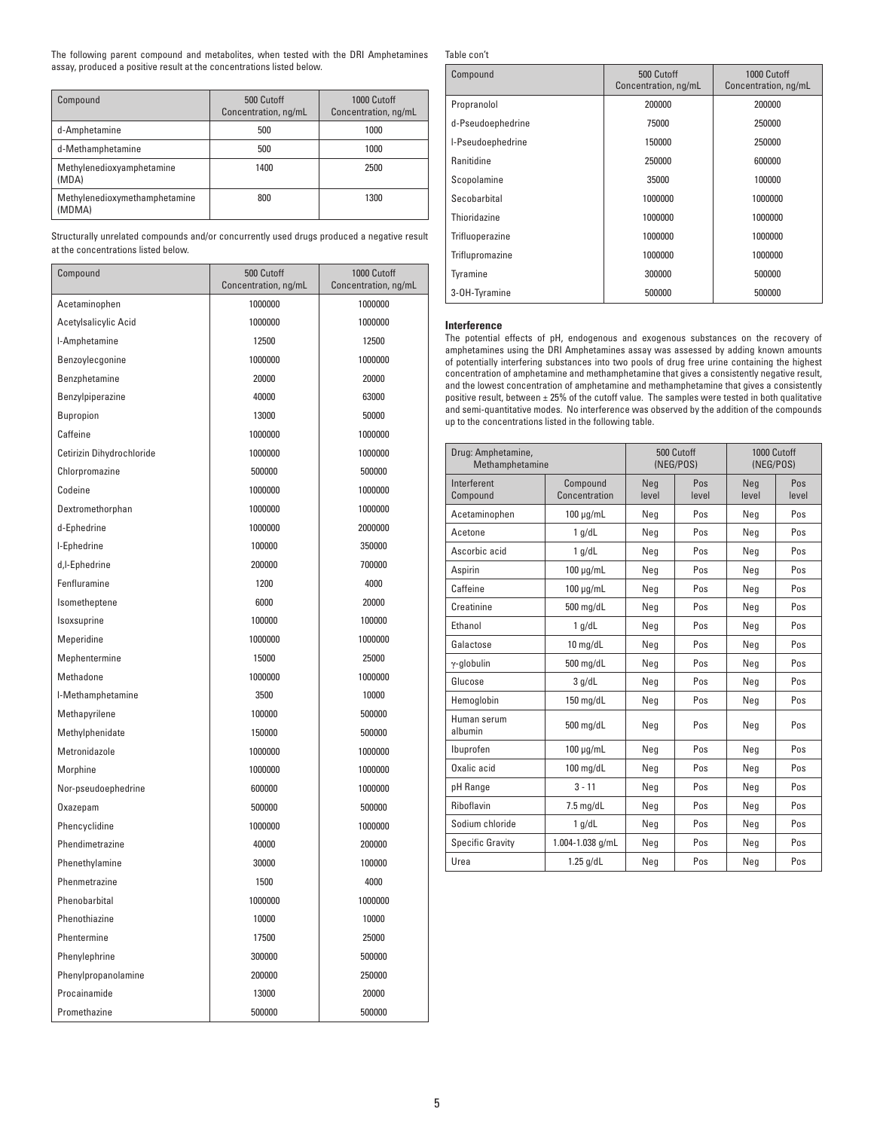The following parent compound and metabolites, when tested with the DRI Amphetamines assay, produced a positive result at the concentrations listed below.

| Compound                                | 500 Cutoff<br>Concentration, ng/mL | 1000 Cutoff<br>Concentration, ng/mL |
|-----------------------------------------|------------------------------------|-------------------------------------|
| d-Amphetamine                           | 500                                | 1000                                |
| d-Methamphetamine                       | 500                                | 1000                                |
| Methylenedioxyamphetamine<br>(MDA)      | 1400                               | 2500                                |
| Methylenedioxymethamphetamine<br>(MDMA) | 800                                | 1300                                |

Structurally unrelated compounds and/or concurrently used drugs produced a negative result at the concentrations listed below.

| Compound                  | 500 Cutoff<br>1000 Cutoff<br>Concentration, ng/mL<br>Concentration, ng/mL |         |  |
|---------------------------|---------------------------------------------------------------------------|---------|--|
| Acetaminophen             | 1000000                                                                   | 1000000 |  |
| Acetylsalicylic Acid      | 1000000                                                                   | 1000000 |  |
| I-Amphetamine             | 12500                                                                     | 12500   |  |
| Benzoylecqonine           | 1000000                                                                   | 1000000 |  |
| Benzphetamine             | 20000                                                                     | 20000   |  |
| Benzylpiperazine          | 40000                                                                     | 63000   |  |
| Bupropion                 | 13000                                                                     | 50000   |  |
| Caffeine                  | 1000000                                                                   | 1000000 |  |
| Cetirizin Dihydrochloride | 1000000                                                                   | 1000000 |  |
| Chlorpromazine            | 500000                                                                    | 500000  |  |
| Codeine                   | 1000000                                                                   | 1000000 |  |
| Dextromethorphan          | 1000000                                                                   | 1000000 |  |
| d-Ephedrine               | 1000000                                                                   | 2000000 |  |
| I-Ephedrine               | 100000                                                                    | 350000  |  |
| d,I-Ephedrine             | 200000                                                                    | 700000  |  |
| Fenfluramine              | 1200                                                                      | 4000    |  |
| Isometheptene             | 6000                                                                      | 20000   |  |
| Isoxsuprine               | 100000                                                                    | 100000  |  |
| Meperidine                | 1000000                                                                   | 1000000 |  |
| Mephentermine             | 15000                                                                     | 25000   |  |
| Methadone                 | 1000000                                                                   | 1000000 |  |
| I-Methamphetamine         | 3500                                                                      | 10000   |  |
| Methapyrilene             | 100000                                                                    | 500000  |  |
| Methylphenidate           | 150000                                                                    | 500000  |  |
| Metronidazole             | 1000000                                                                   | 1000000 |  |
| Morphine                  | 1000000                                                                   | 1000000 |  |
| Nor-pseudoephedrine       | 600000                                                                    | 1000000 |  |
| Oxazepam                  | 500000                                                                    | 500000  |  |
| Phencyclidine             | 1000000                                                                   | 1000000 |  |
| Phendimetrazine           | 40000                                                                     | 200000  |  |
| Phenethylamine            | 30000                                                                     | 100000  |  |
| Phenmetrazine             | 1500                                                                      | 4000    |  |
| Phenobarbital             | 1000000                                                                   | 1000000 |  |
| Phenothiazine             | 10000                                                                     | 10000   |  |
| Phentermine               | 17500                                                                     | 25000   |  |
| Phenylephrine             | 300000                                                                    | 500000  |  |
| Phenylpropanolamine       | 200000                                                                    | 250000  |  |
| Procainamide              | 13000                                                                     | 20000   |  |
| Promethazine              | 500000                                                                    | 500000  |  |

Table con't

| Compound          | 500 Cutoff<br>Concentration, ng/mL | 1000 Cutoff<br>Concentration, ng/mL |  |
|-------------------|------------------------------------|-------------------------------------|--|
| Propranolol       | 200000                             | 200000                              |  |
| d-Pseudoephedrine | 75000                              | 250000                              |  |
| I-Pseudoephedrine | 150000                             | 250000                              |  |
| Ranitidine        | 250000                             | 600000                              |  |
| Scopolamine       | 35000                              | 100000                              |  |
| Secobarbital      | 1000000                            | 1000000                             |  |
| Thioridazine      | 1000000                            | 1000000                             |  |
| Trifluoperazine   | 1000000                            | 1000000                             |  |
| Triflupromazine   | 1000000                            | 1000000                             |  |
| Tyramine          | 300000                             | 500000                              |  |
| 3-OH-Tyramine     | 500000                             | 500000                              |  |

# **Interference**

The potential effects of pH, endogenous and exogenous substances on the recovery of amphetamines using the DRI Amphetamines assay was assessed by adding known amounts of potentially interfering substances into two pools of drug free urine containing the highest concentration of amphetamine and methamphetamine that gives a consistently negative result, and the lowest concentration of amphetamine and methamphetamine that gives a consistently positive result, between  $\pm 25\%$  of the cutoff value. The samples were tested in both qualitative and semi-quantitative modes. No interference was observed by the addition of the compounds up to the concentrations listed in the following table.

| Drug: Amphetamine,<br>Methamphetamine |                           | 500 Cutoff<br>(NEG/POS) |              | 1000 Cutoff<br>(NEG/POS) |              |
|---------------------------------------|---------------------------|-------------------------|--------------|--------------------------|--------------|
| Interferent<br>Compound               | Compound<br>Concentration | Neg<br>level            | Pos<br>level | Neg<br>level             | Pos<br>level |
| Acetaminophen                         | $100 \mu g/mL$            | Neg                     | Pos          | Neg                      | Pos          |
| Acetone                               | $1$ g/dL                  | Neg                     | Pos          | Neg                      | Pos          |
| Ascorbic acid                         | 1 q/dL                    | Neg                     | Pos          | Neg                      | Pos          |
| Aspirin                               | $100 \mu g/mL$            | Neg                     | Pos          | Neg                      | Pos          |
| Caffeine                              | $100 \mu q/mL$            | Neg                     | Pos          | Neg                      | Pos          |
| Creatinine                            | 500 mg/dL                 | Neg                     | Pos          | Neg                      | Pos          |
| Ethanol                               | 1 q/dL                    | Neg                     | Pos          | Neg                      | Pos          |
| Galactose                             | $10$ mg/dL                | Neg                     | Pos          | Neg                      | Pos          |
| $\gamma$ -globulin                    | $500$ mg/dL               | Neg                     | Pos          | Neg                      | Pos          |
| Glucose                               | 3 q/dL                    | Neg                     | Pos          | Neg                      | Pos          |
| Hemoglobin                            | $150$ mg/dL               | Neg                     | Pos          | Neg                      | Pos          |
| Human serum<br>albumin                | 500 mg/dL                 | Neg                     | Pos          | Neg                      | Pos          |
| Ibuprofen                             | $100 \mu q/mL$            | Neg                     | Pos          | Neg                      | Pos          |
| Oxalic acid                           | $100$ mg/dL               | Neg                     | Pos          | Neg                      | Pos          |
| pH Range                              | $3 - 11$                  | Neg                     | Pos          | Neg                      | Pos          |
| Riboflavin                            | $7.5$ mg/dL               | Neg                     | Pos          | Neg                      | Pos          |
| Sodium chloride                       | $1$ g/dL                  | Neg                     | Pos          | Neg                      | Pos          |
| <b>Specific Gravity</b>               | 1.004-1.038 g/mL          | Neg                     | Pos          | Neg                      | Pos          |
| Urea                                  | $1.25$ g/dL               | Neg                     | Pos          | Neg                      | Pos          |